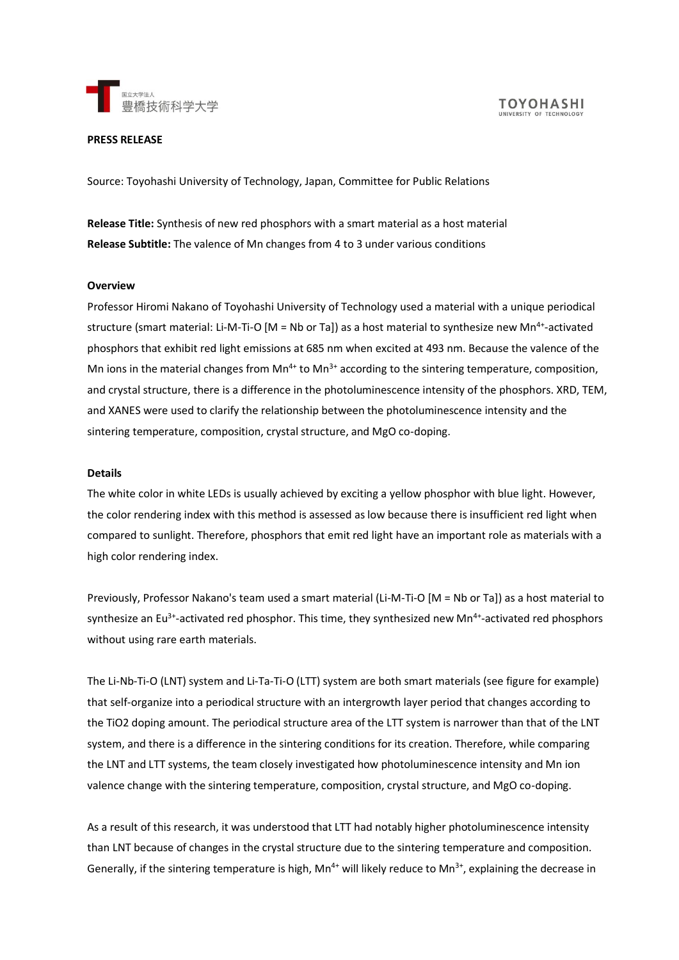

#### **PRESS RELEASE**

Source: Toyohashi University of Technology, Japan, Committee for Public Relations

**Release Title:** Synthesis of new red phosphors with a smart material as a host material **Release Subtitle:** The valence of Mn changes from 4 to 3 under various conditions

#### **Overview**

Professor Hiromi Nakano of Toyohashi University of Technology used a material with a unique periodical structure (smart material: Li-M-Ti-O [M = Nb or Ta]) as a host material to synthesize new Mn<sup>4+</sup>-activated phosphors that exhibit red light emissions at 685 nm when excited at 493 nm. Because the valence of the Mn ions in the material changes from  $Mn^{4+}$  to  $Mn^{3+}$  according to the sintering temperature, composition, and crystal structure, there is a difference in the photoluminescence intensity of the phosphors. XRD, TEM, and XANES were used to clarify the relationship between the photoluminescence intensity and the sintering temperature, composition, crystal structure, and MgO co-doping.

## **Details**

The white color in white LEDs is usually achieved by exciting a yellow phosphor with blue light. However, the color rendering index with this method is assessed as low because there is insufficient red light when compared to sunlight. Therefore, phosphors that emit red light have an important role as materials with a high color rendering index.

Previously, Professor Nakano's team used a smart material (Li-M-Ti-O [M = Nb or Ta]) as a host material to synthesize an Eu<sup>3+</sup>-activated red phosphor. This time, they synthesized new Mn<sup>4+</sup>-activated red phosphors without using rare earth materials.

The Li-Nb-Ti-O (LNT) system and Li-Ta-Ti-O (LTT) system are both smart materials (see figure for example) that self-organize into a periodical structure with an intergrowth layer period that changes according to the TiO2 doping amount. The periodical structure area of the LTT system is narrower than that of the LNT system, and there is a difference in the sintering conditions for its creation. Therefore, while comparing the LNT and LTT systems, the team closely investigated how photoluminescence intensity and Mn ion valence change with the sintering temperature, composition, crystal structure, and MgO co-doping.

As a result of this research, it was understood that LTT had notably higher photoluminescence intensity than LNT because of changes in the crystal structure due to the sintering temperature and composition. Generally, if the sintering temperature is high,  $Mn^{4+}$  will likely reduce to  $Mn^{3+}$ , explaining the decrease in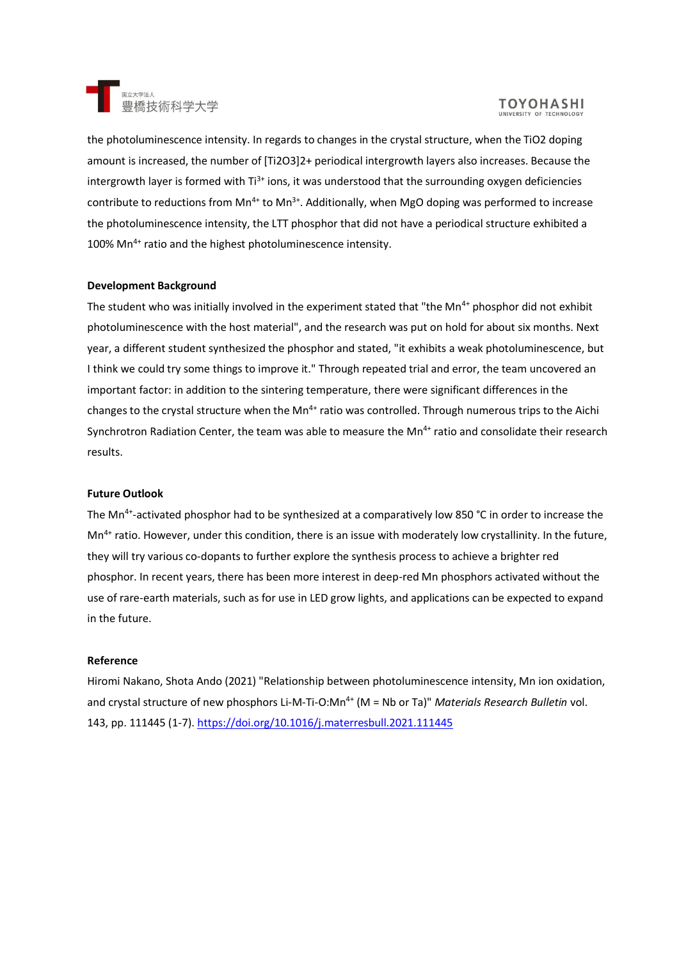

# **TOYOHASHI**

the photoluminescence intensity. In regards to changes in the crystal structure, when the TiO2 doping amount is increased, the number of [Ti2O3]2+ periodical intergrowth layers also increases. Because the intergrowth layer is formed with  $Ti^{3+}$  ions, it was understood that the surrounding oxygen deficiencies contribute to reductions from  $Mn^{4+}$  to  $Mn^{3+}$ . Additionally, when MgO doping was performed to increase the photoluminescence intensity, the LTT phosphor that did not have a periodical structure exhibited a 100% Mn<sup>4+</sup> ratio and the highest photoluminescence intensity.

## **Development Background**

The student who was initially involved in the experiment stated that "the Mn<sup>4+</sup> phosphor did not exhibit photoluminescence with the host material", and the research was put on hold for about six months. Next year, a different student synthesized the phosphor and stated, "it exhibits a weak photoluminescence, but I think we could try some things to improve it." Through repeated trial and error, the team uncovered an important factor: in addition to the sintering temperature, there were significant differences in the changes to the crystal structure when the Mn<sup>4+</sup> ratio was controlled. Through numerous trips to the Aichi Synchrotron Radiation Center, the team was able to measure the Mn<sup>4+</sup> ratio and consolidate their research results.

## **Future Outlook**

The Mn<sup>4+</sup>-activated phosphor had to be synthesized at a comparatively low 850 °C in order to increase the Mn<sup>4+</sup> ratio. However, under this condition, there is an issue with moderately low crystallinity. In the future, they will try various co-dopants to further explore the synthesis process to achieve a brighter red phosphor. In recent years, there has been more interest in deep-red Mn phosphors activated without the use of rare-earth materials, such as for use in LED grow lights, and applications can be expected to expand in the future.

#### **Reference**

Hiromi Nakano, Shota Ando (2021) "Relationship between photoluminescence intensity, Mn ion oxidation, and crystal structure of new phosphors Li-M-Ti-O:Mn<sup>4+</sup> (M = Nb or Ta)" *Materials Research Bulletin vol.* 143, pp. 111445 (1-7).<https://doi.org/10.1016/j.materresbull.2021.111445>